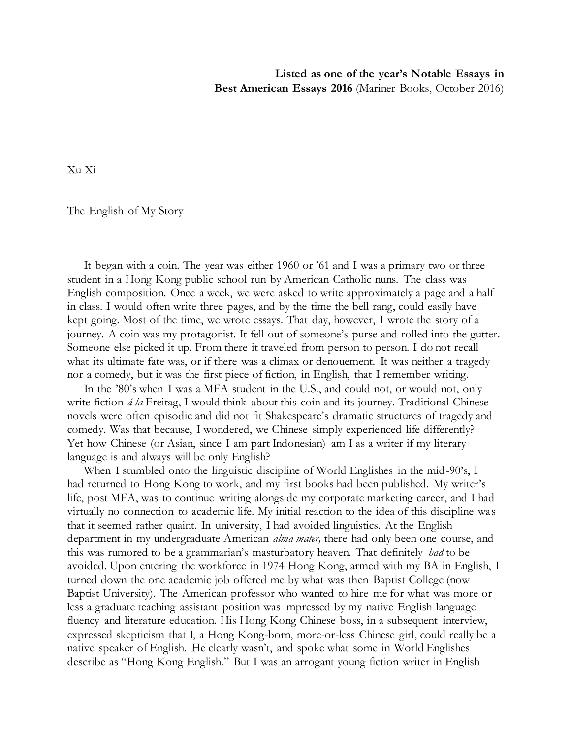Xu Xi

The English of My Story

It began with a coin. The year was either 1960 or '61 and I was a primary two or three student in a Hong Kong public school run by American Catholic nuns. The class was English composition. Once a week, we were asked to write approximately a page and a half in class. I would often write three pages, and by the time the bell rang, could easily have kept going. Most of the time, we wrote essays. That day, however, I wrote the story of a journey. A coin was my protagonist. It fell out of someone's purse and rolled into the gutter. Someone else picked it up. From there it traveled from person to person. I do not recall what its ultimate fate was, or if there was a climax or denouement. It was neither a tragedy nor a comedy, but it was the first piece of fiction, in English, that I remember writing.

In the '80's when I was a MFA student in the U.S., and could not, or would not, only write fiction *á la* Freitag, I would think about this coin and its journey. Traditional Chinese novels were often episodic and did not fit Shakespeare's dramatic structures of tragedy and comedy. Was that because, I wondered, we Chinese simply experienced life differently? Yet how Chinese (or Asian, since I am part Indonesian) am I as a writer if my literary language is and always will be only English?

When I stumbled onto the linguistic discipline of World Englishes in the mid-90's, I had returned to Hong Kong to work, and my first books had been published. My writer's life, post MFA, was to continue writing alongside my corporate marketing career, and I had virtually no connection to academic life. My initial reaction to the idea of this discipline was that it seemed rather quaint. In university, I had avoided linguistics. At the English department in my undergraduate American *alma mater,* there had only been one course, and this was rumored to be a grammarian's masturbatory heaven. That definitely *had* to be avoided. Upon entering the workforce in 1974 Hong Kong, armed with my BA in English, I turned down the one academic job offered me by what was then Baptist College (now Baptist University). The American professor who wanted to hire me for what was more or less a graduate teaching assistant position was impressed by my native English language fluency and literature education. His Hong Kong Chinese boss, in a subsequent interview, expressed skepticism that I, a Hong Kong-born, more-or-less Chinese girl, could really be a native speaker of English. He clearly wasn't, and spoke what some in World Englishes describe as "Hong Kong English." But I was an arrogant young fiction writer in English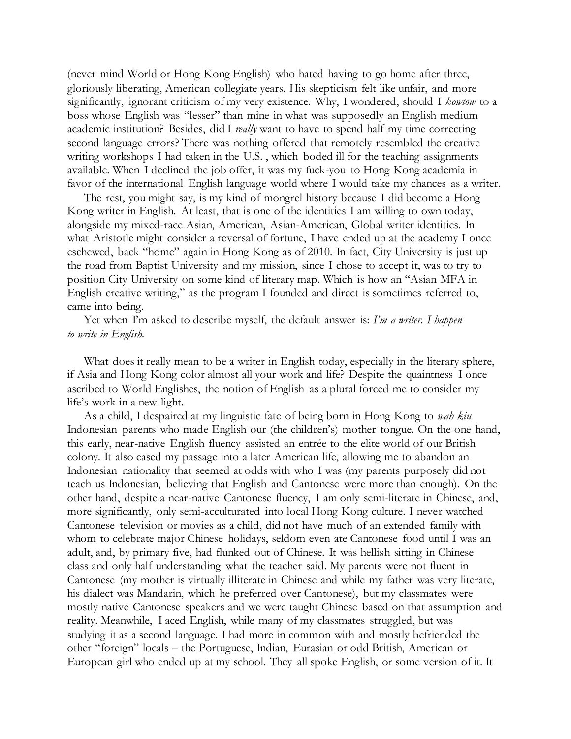(never mind World or Hong Kong English) who hated having to go home after three, gloriously liberating, American collegiate years. His skepticism felt like unfair, and more significantly, ignorant criticism of my very existence. Why, I wondered, should I *kowtow* to a boss whose English was "lesser" than mine in what was supposedly an English medium academic institution? Besides, did I *really* want to have to spend half my time correcting second language errors? There was nothing offered that remotely resembled the creative writing workshops I had taken in the U.S., which boded ill for the teaching assignments available. When I declined the job offer, it was my fuck-you to Hong Kong academia in favor of the international English language world where I would take my chances as a writer.

The rest, you might say, is my kind of mongrel history because I did become a Hong Kong writer in English. At least, that is one of the identities I am willing to own today, alongside my mixed-race Asian, American, Asian-American, Global writer identities. In what Aristotle might consider a reversal of fortune, I have ended up at the academy I once eschewed, back "home" again in Hong Kong as of 2010. In fact, City University is just up the road from Baptist University and my mission, since I chose to accept it, was to try to position City University on some kind of literary map. Which is how an "Asian MFA in English creative writing," as the program I founded and direct is sometimes referred to, came into being.

Yet when I'm asked to describe myself, the default answer is: *I'm a writer. I happen to write in English.*

What does it really mean to be a writer in English today, especially in the literary sphere, if Asia and Hong Kong color almost all your work and life? Despite the quaintness I once ascribed to World Englishes, the notion of English as a plural forced me to consider my life's work in a new light.

As a child, I despaired at my linguistic fate of being born in Hong Kong to *wah kiu* Indonesian parents who made English our (the children's) mother tongue. On the one hand, this early, near-native English fluency assisted an entrée to the elite world of our British colony. It also eased my passage into a later American life, allowing me to abandon an Indonesian nationality that seemed at odds with who I was (my parents purposely did not teach us Indonesian, believing that English and Cantonese were more than enough). On the other hand, despite a near-native Cantonese fluency, I am only semi-literate in Chinese, and, more significantly, only semi-acculturated into local Hong Kong culture. I never watched Cantonese television or movies as a child, did not have much of an extended family with whom to celebrate major Chinese holidays, seldom even ate Cantonese food until I was an adult, and, by primary five, had flunked out of Chinese. It was hellish sitting in Chinese class and only half understanding what the teacher said. My parents were not fluent in Cantonese (my mother is virtually illiterate in Chinese and while my father was very literate, his dialect was Mandarin, which he preferred over Cantonese), but my classmates were mostly native Cantonese speakers and we were taught Chinese based on that assumption and reality. Meanwhile, I aced English, while many of my classmates struggled, but was studying it as a second language. I had more in common with and mostly befriended the other "foreign" locals – the Portuguese, Indian, Eurasian or odd British, American or European girl who ended up at my school. They all spoke English, or some version of it. It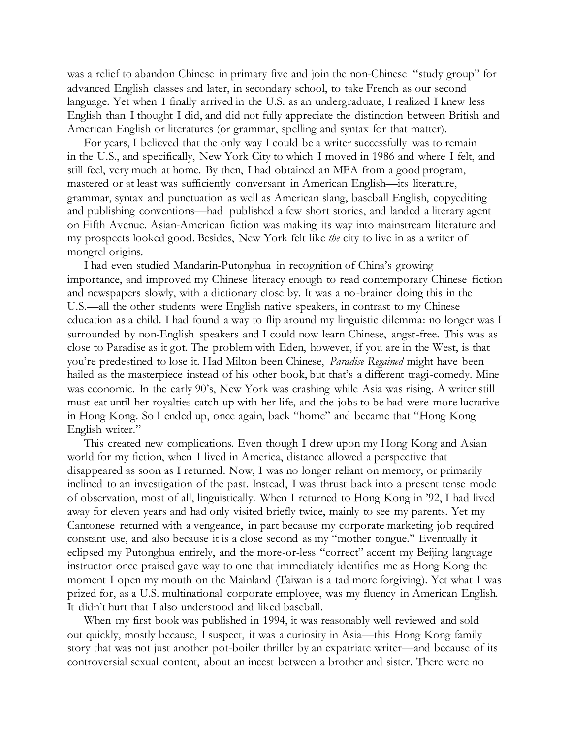was a relief to abandon Chinese in primary five and join the non-Chinese "study group" for advanced English classes and later, in secondary school, to take French as our second language. Yet when I finally arrived in the U.S. as an undergraduate, I realized I knew less English than I thought I did, and did not fully appreciate the distinction between British and American English or literatures (or grammar, spelling and syntax for that matter).

For years, I believed that the only way I could be a writer successfully was to remain in the U.S., and specifically, New York City to which I moved in 1986 and where I felt, and still feel, very much at home. By then, I had obtained an MFA from a good program, mastered or at least was sufficiently conversant in American English—its literature, grammar, syntax and punctuation as well as American slang, baseball English, copyediting and publishing conventions—had published a few short stories, and landed a literary agent on Fifth Avenue. Asian-American fiction was making its way into mainstream literature and my prospects looked good. Besides, New York felt like *the* city to live in as a writer of mongrel origins.

I had even studied Mandarin-Putonghua in recognition of China's growing importance, and improved my Chinese literacy enough to read contemporary Chinese fiction and newspapers slowly, with a dictionary close by. It was a no-brainer doing this in the U.S.—all the other students were English native speakers, in contrast to my Chinese education as a child. I had found a way to flip around my linguistic dilemma: no longer was I surrounded by non-English speakers and I could now learn Chinese, angst-free. This was as close to Paradise as it got. The problem with Eden, however, if you are in the West, is that you're predestined to lose it. Had Milton been Chinese, *Paradise Regained* might have been hailed as the masterpiece instead of his other book, but that's a different tragi-comedy. Mine was economic. In the early 90's, New York was crashing while Asia was rising. A writer still must eat until her royalties catch up with her life, and the jobs to be had were more lucrative in Hong Kong. So I ended up, once again, back "home" and became that "Hong Kong English writer."

This created new complications. Even though I drew upon my Hong Kong and Asian world for my fiction, when I lived in America, distance allowed a perspective that disappeared as soon as I returned. Now, I was no longer reliant on memory, or primarily inclined to an investigation of the past. Instead, I was thrust back into a present tense mode of observation, most of all, linguistically. When I returned to Hong Kong in '92, I had lived away for eleven years and had only visited briefly twice, mainly to see my parents. Yet my Cantonese returned with a vengeance, in part because my corporate marketing job required constant use, and also because it is a close second as my "mother tongue." Eventually it eclipsed my Putonghua entirely, and the more-or-less "correct" accent my Beijing language instructor once praised gave way to one that immediately identifies me as Hong Kong the moment I open my mouth on the Mainland (Taiwan is a tad more forgiving). Yet what I was prized for, as a U.S. multinational corporate employee, was my fluency in American English. It didn't hurt that I also understood and liked baseball.

When my first book was published in 1994, it was reasonably well reviewed and sold out quickly, mostly because, I suspect, it was a curiosity in Asia—this Hong Kong family story that was not just another pot-boiler thriller by an expatriate writer—and because of its controversial sexual content, about an incest between a brother and sister. There were no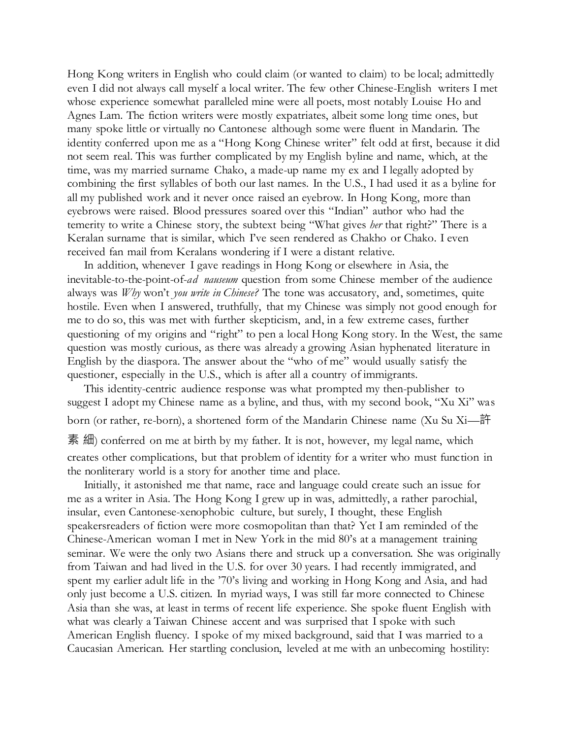Hong Kong writers in English who could claim (or wanted to claim) to be local; admittedly even I did not always call myself a local writer. The few other Chinese-English writers I met whose experience somewhat paralleled mine were all poets, most notably Louise Ho and Agnes Lam. The fiction writers were mostly expatriates, albeit some long time ones, but many spoke little or virtually no Cantonese although some were fluent in Mandarin. The identity conferred upon me as a "Hong Kong Chinese writer" felt odd at first, because it did not seem real. This was further complicated by my English byline and name, which, at the time, was my married surname Chako, a made-up name my ex and I legally adopted by combining the first syllables of both our last names. In the U.S., I had used it as a byline for all my published work and it never once raised an eyebrow. In Hong Kong, more than eyebrows were raised. Blood pressures soared over this "Indian" author who had the temerity to write a Chinese story, the subtext being "What gives *her* that right?" There is a Keralan surname that is similar, which I've seen rendered as Chakho or Chako. I even received fan mail from Keralans wondering if I were a distant relative.

In addition, whenever I gave readings in Hong Kong or elsewhere in Asia, the inevitable-to-the-point-of-*ad nauseum* question from some Chinese member of the audience always was *Why* won't *you write in Chinese?* The tone was accusatory, and, sometimes, quite hostile. Even when I answered, truthfully, that my Chinese was simply not good enough for me to do so, this was met with further skepticism, and, in a few extreme cases, further questioning of my origins and "right" to pen a local Hong Kong story. In the West, the same question was mostly curious, as there was already a growing Asian hyphenated literature in English by the diaspora. The answer about the "who of me" would usually satisfy the questioner, especially in the U.S., which is after all a country of immigrants.

This identity-centric audience response was what prompted my then-publisher to suggest I adopt my Chinese name as a byline, and thus, with my second book, "Xu Xi" was born (or rather, re-born), a shortened form of the Mandarin Chinese name (Xu Su Xi—許

素 細) conferred on me at birth by my father. It is not, however, my legal name, which creates other complications, but that problem of identity for a writer who must function in the nonliterary world is a story for another time and place.

Initially, it astonished me that name, race and language could create such an issue for me as a writer in Asia. The Hong Kong I grew up in was, admittedly, a rather parochial, insular, even Cantonese-xenophobic culture, but surely, I thought, these English speakersreaders of fiction were more cosmopolitan than that? Yet I am reminded of the Chinese-American woman I met in New York in the mid 80's at a management training seminar. We were the only two Asians there and struck up a conversation. She was originally from Taiwan and had lived in the U.S. for over 30 years. I had recently immigrated, and spent my earlier adult life in the '70's living and working in Hong Kong and Asia, and had only just become a U.S. citizen. In myriad ways, I was still far more connected to Chinese Asia than she was, at least in terms of recent life experience. She spoke fluent English with what was clearly a Taiwan Chinese accent and was surprised that I spoke with such American English fluency. I spoke of my mixed background, said that I was married to a Caucasian American. Her startling conclusion, leveled at me with an unbecoming hostility: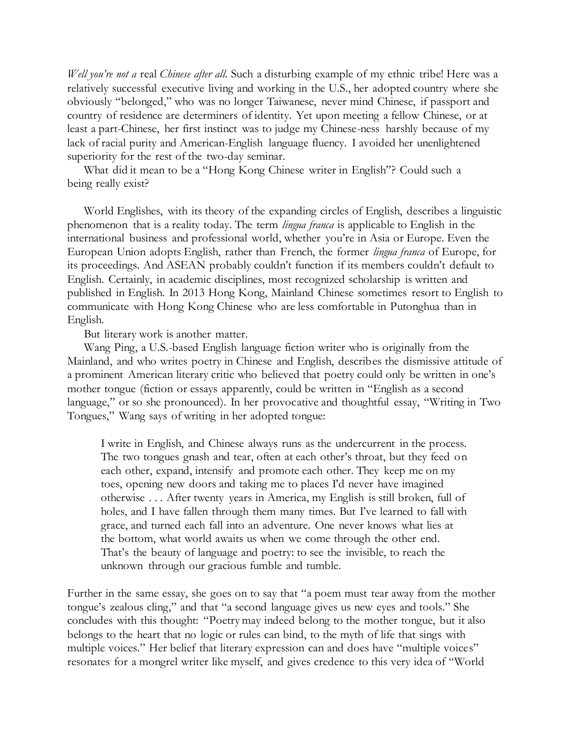*Well you're not a* real *Chinese after all.* Such a disturbing example of my ethnic tribe! Here was a relatively successful executive living and working in the U.S., her adopted country where she obviously "belonged," who was no longer Taiwanese, never mind Chinese, if passport and country of residence are determiners of identity. Yet upon meeting a fellow Chinese, or at least a part-Chinese, her first instinct was to judge my Chinese-ness harshly because of my lack of racial purity and American-English language fluency. I avoided her unenlightened superiority for the rest of the two-day seminar.

What did it mean to be a "Hong Kong Chinese writer in English"? Could such a being really exist?

World Englishes, with its theory of the expanding circles of English, describes a linguistic phenomenon that is a reality today. The term *lingua franca* is applicable to English in the international business and professional world, whether you're in Asia or Europe. Even the European Union adopts English, rather than French, the former *lingua franca* of Europe, for its proceedings. And ASEAN probably couldn't function if its members couldn't default to English. Certainly, in academic disciplines, most recognized scholarship is written and published in English. In 2013 Hong Kong, Mainland Chinese sometimes resort to English to communicate with Hong Kong Chinese who are less comfortable in Putonghua than in English.

But literary work is another matter.

Wang Ping, a U.S.-based English language fiction writer who is originally from the Mainland, and who writes poetry in Chinese and English, describes the dismissive attitude of a prominent American literary critic who believed that poetry could only be written in one's mother tongue (fiction or essays apparently, could be written in "English as a second language," or so she pronounced). In her provocative and thoughtful essay, "Writing in Two Tongues," Wang says of writing in her adopted tongue:

I write in English, and Chinese always runs as the undercurrent in the process. The two tongues gnash and tear, often at each other's throat, but they feed on each other, expand, intensify and promote each other. They keep me on my toes, opening new doors and taking me to places I'd never have imagined otherwise . . . After twenty years in America, my English is still broken, full of holes, and I have fallen through them many times. But I've learned to fall with grace, and turned each fall into an adventure. One never knows what lies at the bottom, what world awaits us when we come through the other end. That's the beauty of language and poetry: to see the invisible, to reach the unknown through our gracious fumble and tumble.

Further in the same essay, she goes on to say that "a poem must tear away from the mother tongue's zealous cling," and that "a second language gives us new eyes and tools." She concludes with this thought: "Poetry may indeed belong to the mother tongue, but it also belongs to the heart that no logic or rules can bind, to the myth of life that sings with multiple voices." Her belief that literary expression can and does have "multiple voices" resonates for a mongrel writer like myself, and gives credence to this very idea of "World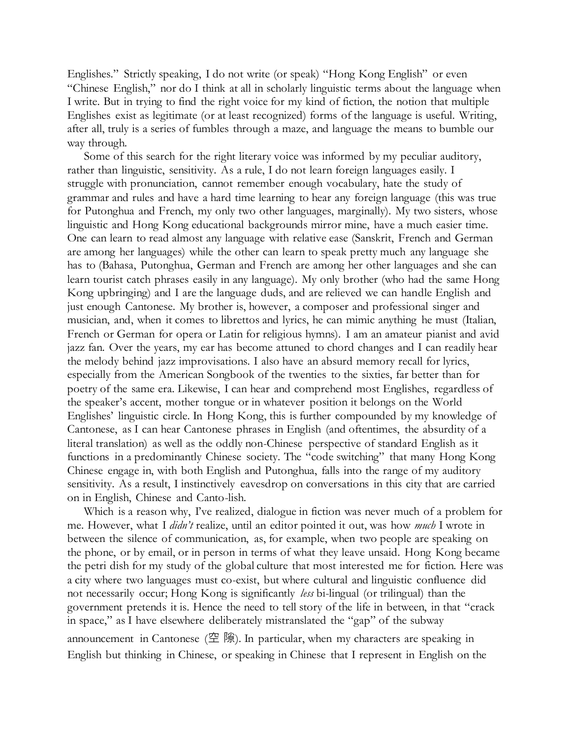Englishes." Strictly speaking, I do not write (or speak) "Hong Kong English" or even "Chinese English," nor do I think at all in scholarly linguistic terms about the language when I write. But in trying to find the right voice for my kind of fiction, the notion that multiple Englishes exist as legitimate (or at least recognized) forms of the language is useful. Writing, after all, truly is a series of fumbles through a maze, and language the means to bumble our way through.

Some of this search for the right literary voice was informed by my peculiar auditory, rather than linguistic, sensitivity. As a rule, I do not learn foreign languages easily. I struggle with pronunciation, cannot remember enough vocabulary, hate the study of grammar and rules and have a hard time learning to hear any foreign language (this was true for Putonghua and French, my only two other languages, marginally). My two sisters, whose linguistic and Hong Kong educational backgrounds mirror mine, have a much easier time. One can learn to read almost any language with relative ease (Sanskrit, French and German are among her languages) while the other can learn to speak pretty much any language she has to (Bahasa, Putonghua, German and French are among her other languages and she can learn tourist catch phrases easily in any language). My only brother (who had the same Hong Kong upbringing) and I are the language duds, and are relieved we can handle English and just enough Cantonese. My brother is, however, a composer and professional singer and musician, and, when it comes to librettos and lyrics, he can mimic anything he must (Italian, French or German for opera or Latin for religious hymns). I am an amateur pianist and avid jazz fan. Over the years, my ear has become attuned to chord changes and I can readily hear the melody behind jazz improvisations. I also have an absurd memory recall for lyrics, especially from the American Songbook of the twenties to the sixties, far better than for poetry of the same era. Likewise, I can hear and comprehend most Englishes, regardless of the speaker's accent, mother tongue or in whatever position it belongs on the World Englishes' linguistic circle. In Hong Kong, this is further compounded by my knowledge of Cantonese, as I can hear Cantonese phrases in English (and oftentimes, the absurdity of a literal translation) as well as the oddly non-Chinese perspective of standard English as it functions in a predominantly Chinese society. The "code switching" that many Hong Kong Chinese engage in, with both English and Putonghua, falls into the range of my auditory sensitivity. As a result, I instinctively eavesdrop on conversations in this city that are carried on in English, Chinese and Canto-lish.

Which is a reason why, I've realized, dialogue in fiction was never much of a problem for me. However, what I *didn't* realize, until an editor pointed it out, was how *much* I wrote in between the silence of communication, as, for example, when two people are speaking on the phone, or by email, or in person in terms of what they leave unsaid. Hong Kong became the petri dish for my study of the global culture that most interested me for fiction. Here was a city where two languages must co-exist, but where cultural and linguistic confluence did not necessarily occur; Hong Kong is significantly *less* bi-lingual (or trilingual) than the government pretends it is. Hence the need to tell story of the life in between, in that "crack in space," as I have elsewhere deliberately mistranslated the "gap" of the subway announcement in Cantonese (空 隙). In particular, when my characters are speaking in English but thinking in Chinese, or speaking in Chinese that I represent in English on the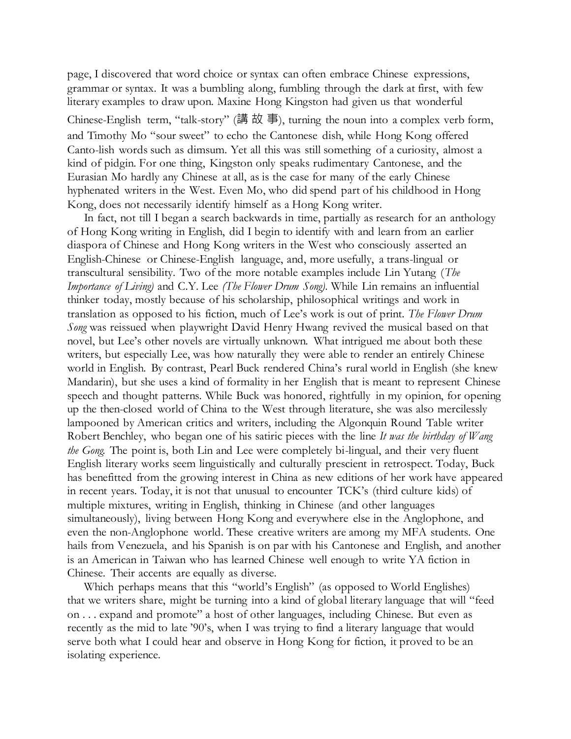page, I discovered that word choice or syntax can often embrace Chinese expressions, grammar or syntax. It was a bumbling along, fumbling through the dark at first, with few literary examples to draw upon. Maxine Hong Kingston had given us that wonderful Chinese-English term, "talk-story" (講 故 事), turning the noun into a complex verb form, and Timothy Mo "sour sweet" to echo the Cantonese dish, while Hong Kong offered Canto-lish words such as dimsum. Yet all this was still something of a curiosity, almost a kind of pidgin. For one thing, Kingston only speaks rudimentary Cantonese, and the Eurasian Mo hardly any Chinese at all, as is the case for many of the early Chinese hyphenated writers in the West. Even Mo, who did spend part of his childhood in Hong Kong, does not necessarily identify himself as a Hong Kong writer.

In fact, not till I began a search backwards in time, partially as research for an anthology of Hong Kong writing in English, did I begin to identify with and learn from an earlier diaspora of Chinese and Hong Kong writers in the West who consciously asserted an English-Chinese or Chinese-English language, and, more usefully, a trans-lingual or transcultural sensibility. Two of the more notable examples include Lin Yutang (*The Importance of Living)* and C.Y. Lee *(The Flower Drum Song).* While Lin remains an influential thinker today, mostly because of his scholarship, philosophical writings and work in translation as opposed to his fiction, much of Lee's work is out of print. *The Flower Drum Song* was reissued when playwright David Henry Hwang revived the musical based on that novel, but Lee's other novels are virtually unknown. What intrigued me about both these writers, but especially Lee, was how naturally they were able to render an entirely Chinese world in English. By contrast, Pearl Buck rendered China's rural world in English (she knew Mandarin), but she uses a kind of formality in her English that is meant to represent Chinese speech and thought patterns. While Buck was honored, rightfully in my opinion, for opening up the then-closed world of China to the West through literature, she was also mercilessly lampooned by American critics and writers, including the Algonquin Round Table writer Robert Benchley, who began one of his satiric pieces with the line *It was the birthday of Wang the Gong.* The point is, both Lin and Lee were completely bi-lingual, and their very fluent English literary works seem linguistically and culturally prescient in retrospect. Today, Buck has benefitted from the growing interest in China as new editions of her work have appeared in recent years. Today, it is not that unusual to encounter TCK's (third culture kids) of multiple mixtures, writing in English, thinking in Chinese (and other languages simultaneously), living between Hong Kong and everywhere else in the Anglophone, and even the non-Anglophone world. These creative writers are among my MFA students. One hails from Venezuela, and his Spanish is on par with his Cantonese and English, and another is an American in Taiwan who has learned Chinese well enough to write YA fiction in Chinese. Their accents are equally as diverse.

Which perhaps means that this "world's English" (as opposed to World Englishes) that we writers share, might be turning into a kind of global literary language that will "feed on . . . expand and promote" a host of other languages, including Chinese. But even as recently as the mid to late '90's, when I was trying to find a literary language that would serve both what I could hear and observe in Hong Kong for fiction, it proved to be an isolating experience.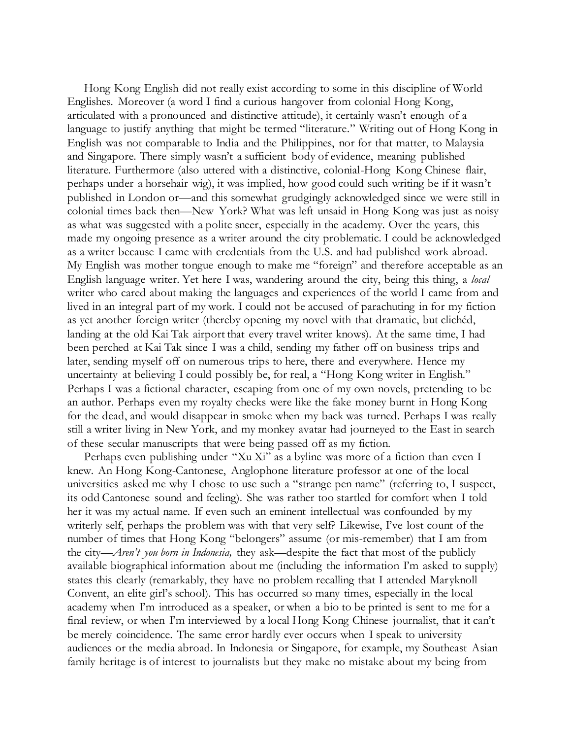Hong Kong English did not really exist according to some in this discipline of World Englishes. Moreover (a word I find a curious hangover from colonial Hong Kong, articulated with a pronounced and distinctive attitude), it certainly wasn't enough of a language to justify anything that might be termed "literature*.*" Writing out of Hong Kong in English was not comparable to India and the Philippines, nor for that matter, to Malaysia and Singapore. There simply wasn't a sufficient body of evidence, meaning published literature. Furthermore (also uttered with a distinctive, colonial-Hong Kong Chinese flair, perhaps under a horsehair wig), it was implied, how good could such writing be if it wasn't published in London or—and this somewhat grudgingly acknowledged since we were still in colonial times back then—New York? What was left unsaid in Hong Kong was just as noisy as what was suggested with a polite sneer, especially in the academy. Over the years, this made my ongoing presence as a writer around the city problematic. I could be acknowledged as a writer because I came with credentials from the U.S. and had published work abroad. My English was mother tongue enough to make me "foreign" and therefore acceptable as an English language writer. Yet here I was, wandering around the city, being this thing, a *local* writer who cared about making the languages and experiences of the world I came from and lived in an integral part of my work. I could not be accused of parachuting in for my fiction as yet another foreign writer (thereby opening my novel with that dramatic, but clichéd, landing at the old Kai Tak airport that every travel writer knows). At the same time, I had been perched at Kai Tak since I was a child, sending my father off on business trips and later, sending myself off on numerous trips to here, there and everywhere. Hence my uncertainty at believing I could possibly be, for real, a "Hong Kong writer in English." Perhaps I was a fictional character, escaping from one of my own novels, pretending to be an author. Perhaps even my royalty checks were like the fake money burnt in Hong Kong for the dead, and would disappear in smoke when my back was turned. Perhaps I was really still a writer living in New York, and my monkey avatar had journeyed to the East in search of these secular manuscripts that were being passed off as my fiction.

Perhaps even publishing under "Xu Xi" as a byline was more of a fiction than even I knew. An Hong Kong-Cantonese, Anglophone literature professor at one of the local universities asked me why I chose to use such a "strange pen name" (referring to, I suspect, its odd Cantonese sound and feeling). She was rather too startled for comfort when I told her it was my actual name. If even such an eminent intellectual was confounded by my writerly self, perhaps the problem was with that very self? Likewise, I've lost count of the number of times that Hong Kong "belongers" assume (or mis-remember) that I am from the city—*Aren't you born in Indonesia,* they ask—despite the fact that most of the publicly available biographical information about me (including the information I'm asked to supply) states this clearly (remarkably, they have no problem recalling that I attended Maryknoll Convent, an elite girl's school). This has occurred so many times, especially in the local academy when I'm introduced as a speaker, or when a bio to be printed is sent to me for a final review, or when I'm interviewed by a local Hong Kong Chinese journalist, that it can't be merely coincidence. The same error hardly ever occurs when I speak to university audiences or the media abroad. In Indonesia or Singapore, for example, my Southeast Asian family heritage is of interest to journalists but they make no mistake about my being from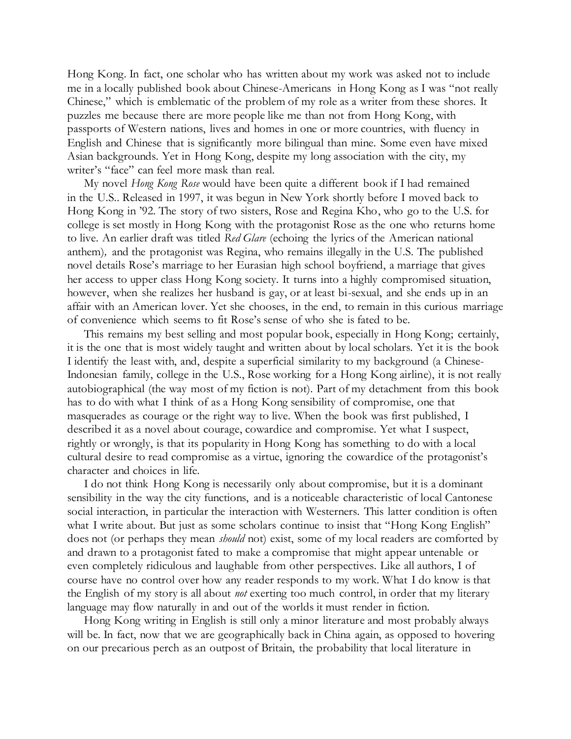Hong Kong. In fact, one scholar who has written about my work was asked not to include me in a locally published book about Chinese-Americans in Hong Kong as I was "not really Chinese," which is emblematic of the problem of my role as a writer from these shores. It puzzles me because there are more people like me than not from Hong Kong, with passports of Western nations, lives and homes in one or more countries, with fluency in English and Chinese that is significantly more bilingual than mine. Some even have mixed Asian backgrounds. Yet in Hong Kong, despite my long association with the city, my writer's "face" can feel more mask than real.

My novel *Hong Kong Rose* would have been quite a different book if I had remained in the U.S.. Released in 1997, it was begun in New York shortly before I moved back to Hong Kong in '92. The story of two sisters, Rose and Regina Kho, who go to the U.S. for college is set mostly in Hong Kong with the protagonist Rose as the one who returns home to live. An earlier draft was titled *Red Glare* (echoing the lyrics of the American national anthem)*,* and the protagonist was Regina, who remains illegally in the U.S. The published novel details Rose's marriage to her Eurasian high school boyfriend, a marriage that gives her access to upper class Hong Kong society. It turns into a highly compromised situation, however, when she realizes her husband is gay, or at least bi-sexual, and she ends up in an affair with an American lover. Yet she chooses, in the end, to remain in this curious marriage of convenience which seems to fit Rose's sense of who she is fated to be.

This remains my best selling and most popular book, especially in Hong Kong; certainly, it is the one that is most widely taught and written about by local scholars. Yet it is the book I identify the least with, and, despite a superficial similarity to my background (a Chinese-Indonesian family, college in the U.S., Rose working for a Hong Kong airline), it is not really autobiographical (the way most of my fiction is not). Part of my detachment from this book has to do with what I think of as a Hong Kong sensibility of compromise, one that masquerades as courage or the right way to live. When the book was first published, I described it as a novel about courage, cowardice and compromise. Yet what I suspect, rightly or wrongly, is that its popularity in Hong Kong has something to do with a local cultural desire to read compromise as a virtue, ignoring the cowardice of the protagonist's character and choices in life.

I do not think Hong Kong is necessarily only about compromise, but it is a dominant sensibility in the way the city functions, and is a noticeable characteristic of local Cantonese social interaction, in particular the interaction with Westerners. This latter condition is often what I write about. But just as some scholars continue to insist that "Hong Kong English" does not (or perhaps they mean *should* not) exist, some of my local readers are comforted by and drawn to a protagonist fated to make a compromise that might appear untenable or even completely ridiculous and laughable from other perspectives. Like all authors, I of course have no control over how any reader responds to my work. What I do know is that the English of my story is all about *not* exerting too much control, in order that my literary language may flow naturally in and out of the worlds it must render in fiction.

Hong Kong writing in English is still only a minor literature and most probably always will be. In fact, now that we are geographically back in China again, as opposed to hovering on our precarious perch as an outpost of Britain, the probability that local literature in